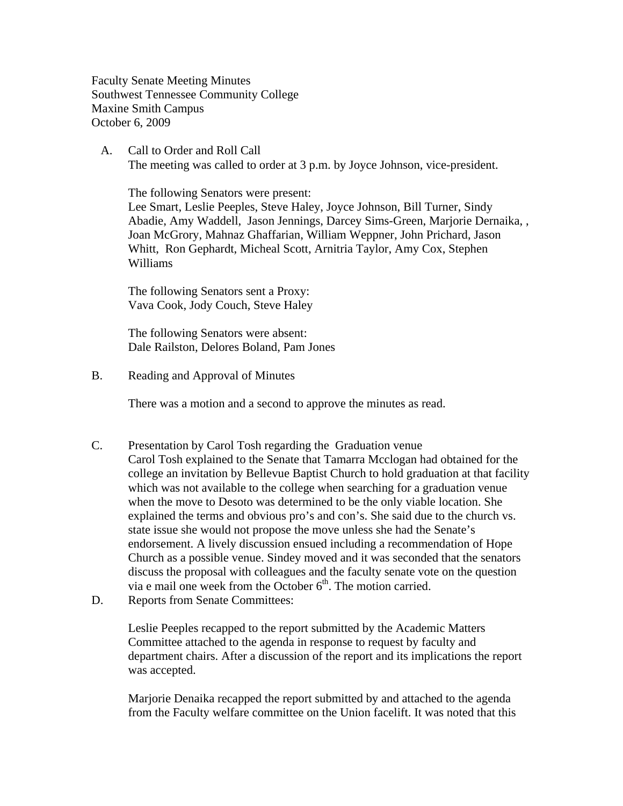Faculty Senate Meeting Minutes Southwest Tennessee Community College Maxine Smith Campus October 6, 2009

 A. Call to Order and Roll Call The meeting was called to order at 3 p.m. by Joyce Johnson, vice-president.

The following Senators were present:

Lee Smart, Leslie Peeples, Steve Haley, Joyce Johnson, Bill Turner, Sindy Abadie, Amy Waddell, Jason Jennings, Darcey Sims-Green, Marjorie Dernaika, , Joan McGrory, Mahnaz Ghaffarian, William Weppner, John Prichard, Jason Whitt, Ron Gephardt, Micheal Scott, Arnitria Taylor, Amy Cox, Stephen Williams

The following Senators sent a Proxy: Vava Cook, Jody Couch, Steve Haley

The following Senators were absent: Dale Railston, Delores Boland, Pam Jones

B. Reading and Approval of Minutes

There was a motion and a second to approve the minutes as read.

- C. Presentation by Carol Tosh regarding the Graduation venue Carol Tosh explained to the Senate that Tamarra Mcclogan had obtained for the college an invitation by Bellevue Baptist Church to hold graduation at that facility which was not available to the college when searching for a graduation venue when the move to Desoto was determined to be the only viable location. She explained the terms and obvious pro's and con's. She said due to the church vs. state issue she would not propose the move unless she had the Senate's endorsement. A lively discussion ensued including a recommendation of Hope Church as a possible venue. Sindey moved and it was seconded that the senators discuss the proposal with colleagues and the faculty senate vote on the question via e mail one week from the October  $6<sup>th</sup>$ . The motion carried.
- D. Reports from Senate Committees:

Leslie Peeples recapped to the report submitted by the Academic Matters Committee attached to the agenda in response to request by faculty and department chairs. After a discussion of the report and its implications the report was accepted.

Marjorie Denaika recapped the report submitted by and attached to the agenda from the Faculty welfare committee on the Union facelift. It was noted that this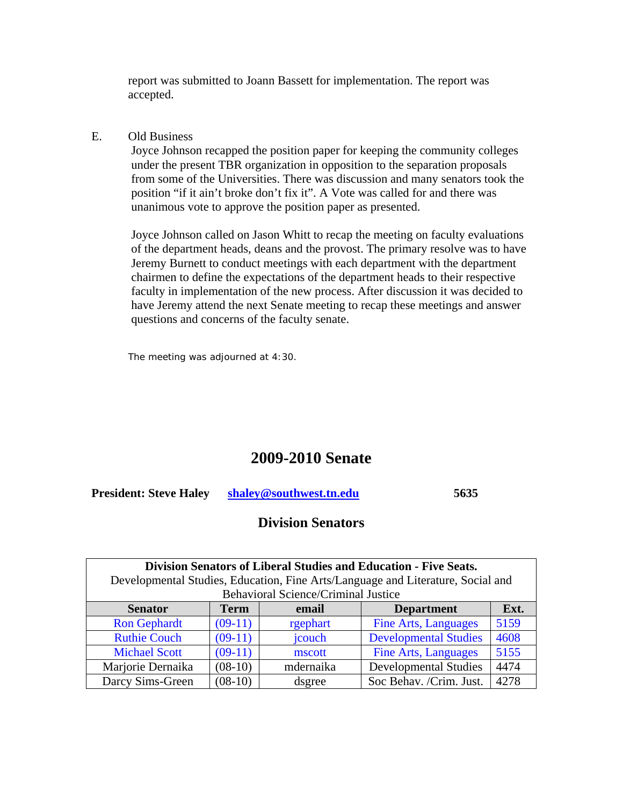report was submitted to Joann Bassett for implementation. The report was accepted.

#### E. Old Business

Joyce Johnson recapped the position paper for keeping the community colleges under the present TBR organization in opposition to the separation proposals from some of the Universities. There was discussion and many senators took the position "if it ain't broke don't fix it". A Vote was called for and there was unanimous vote to approve the position paper as presented.

Joyce Johnson called on Jason Whitt to recap the meeting on faculty evaluations of the department heads, deans and the provost. The primary resolve was to have Jeremy Burnett to conduct meetings with each department with the department chairmen to define the expectations of the department heads to their respective faculty in implementation of the new process. After discussion it was decided to have Jeremy attend the next Senate meeting to recap these meetings and answer questions and concerns of the faculty senate.

The meeting was adjourned at 4:30.

# **2009-2010 Senate**

**President: Steve Haley [shaley@southwest.tn.edu](mailto:shaley@southwest.tn.edu) 5635** 

# **Division Senators**

| Division Senators of Liberal Studies and Education - Five Seats.                |             |           |                              |      |
|---------------------------------------------------------------------------------|-------------|-----------|------------------------------|------|
| Developmental Studies, Education, Fine Arts/Language and Literature, Social and |             |           |                              |      |
| <b>Behavioral Science/Criminal Justice</b>                                      |             |           |                              |      |
| <b>Senator</b>                                                                  | <b>Term</b> | email     | <b>Department</b>            | Ext. |
| <b>Ron Gephardt</b>                                                             | $(09-11)$   | rgephart  | <b>Fine Arts, Languages</b>  | 5159 |
| <b>Ruthie Couch</b>                                                             | $(09-11)$   | jcouch    | <b>Developmental Studies</b> | 4608 |
| <b>Michael Scott</b>                                                            | $(09-11)$   | mscott    | <b>Fine Arts, Languages</b>  | 5155 |
| Marjorie Dernaika                                                               | $(08-10)$   | mdernaika | <b>Developmental Studies</b> | 4474 |
| Darcy Sims-Green                                                                | $(08-10)$   | dsgree    | Soc Behav. /Crim. Just.      | 4278 |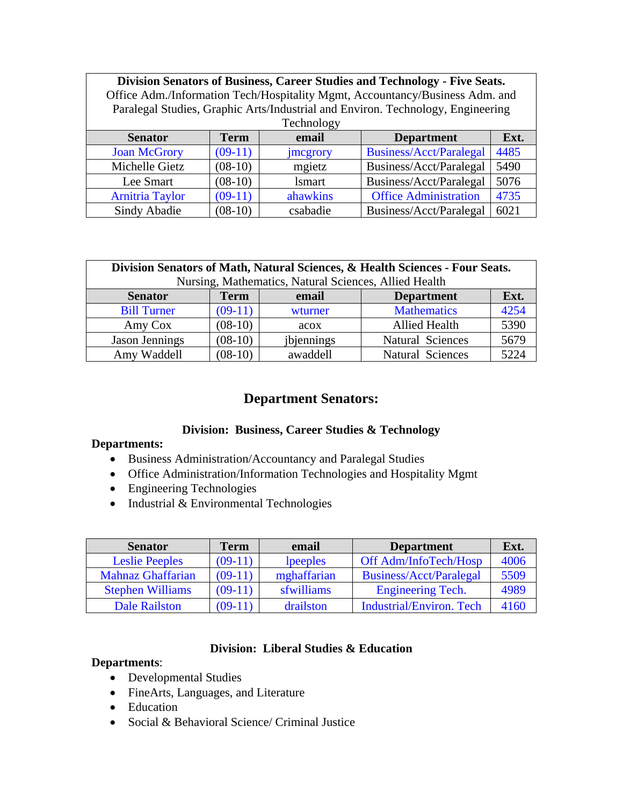| <b>Division Senators of Business, Career Studies and Technology - Five Seats.</b><br>Office Adm./Information Tech/Hospitality Mgmt, Accountancy/Business Adm. and<br>Paralegal Studies, Graphic Arts/Industrial and Environ. Technology, Engineering |             |               |                              |      |
|------------------------------------------------------------------------------------------------------------------------------------------------------------------------------------------------------------------------------------------------------|-------------|---------------|------------------------------|------|
| Technology                                                                                                                                                                                                                                           |             |               |                              |      |
| <b>Senator</b>                                                                                                                                                                                                                                       | <b>Term</b> | email         | <b>Department</b>            | Ext. |
| <b>Joan McGrory</b>                                                                                                                                                                                                                                  | $(09-11)$   | jmcgrory      | Business/Acct/Paralegal      | 4485 |
| Michelle Gietz                                                                                                                                                                                                                                       | $(08-10)$   | mgietz        | Business/Acct/Paralegal      | 5490 |
| Lee Smart                                                                                                                                                                                                                                            | $(08-10)$   | <b>lsmart</b> | Business/Acct/Paralegal      | 5076 |
| <b>Arnitria Taylor</b>                                                                                                                                                                                                                               | $(09-11)$   | ahawkins      | <b>Office Administration</b> | 4735 |
| Sindy Abadie                                                                                                                                                                                                                                         | $(08-10)$   | csabadie      | Business/Acct/Paralegal      | 6021 |

| Division Senators of Math, Natural Sciences, & Health Sciences - Four Seats. |             |            |                         |      |
|------------------------------------------------------------------------------|-------------|------------|-------------------------|------|
| Nursing, Mathematics, Natural Sciences, Allied Health                        |             |            |                         |      |
| <b>Senator</b>                                                               | <b>Term</b> | email      | <b>Department</b>       | Ext. |
| <b>Bill Turner</b>                                                           | $(09-11)$   | wturner    | <b>Mathematics</b>      | 4254 |
| Amy Cox                                                                      | $(08-10)$   | acox       | <b>Allied Health</b>    | 5390 |
| Jason Jennings                                                               | $(08-10)$   | jbjennings | <b>Natural Sciences</b> | 5679 |
| Amy Waddell                                                                  | $(08-10)$   | awaddell   | <b>Natural Sciences</b> | 5224 |

# **Department Senators:**

### **Division: Business, Career Studies & Technology**

#### **Departments:**

- Business Administration/Accountancy and Paralegal Studies
- Office Administration/Information Technologies and Hospitality Mgmt
- Engineering Technologies
- Industrial & Environmental Technologies

| <b>Senator</b>           | <b>Term</b> | email       | <b>Department</b>               | Ext. |
|--------------------------|-------------|-------------|---------------------------------|------|
| <b>Leslie Peeples</b>    | $(09-11)$   | lpeeples    | Off Adm/InfoTech/Hosp           | 4006 |
| <b>Mahnaz Ghaffarian</b> | $(09-11)$   | mghaffarian | Business/Acct/Paralegal         | 5509 |
| <b>Stephen Williams</b>  | $(09-11)$   | sfwilliams  | <b>Engineering Tech.</b>        | 4989 |
| <b>Dale Railston</b>     | $(09-11)$   | drailston   | <b>Industrial/Environ. Tech</b> | 4160 |

#### **Division: Liberal Studies & Education**

#### **Departments**:

- Developmental Studies
- FineArts, Languages, and Literature
- Education
- Social & Behavioral Science/ Criminal Justice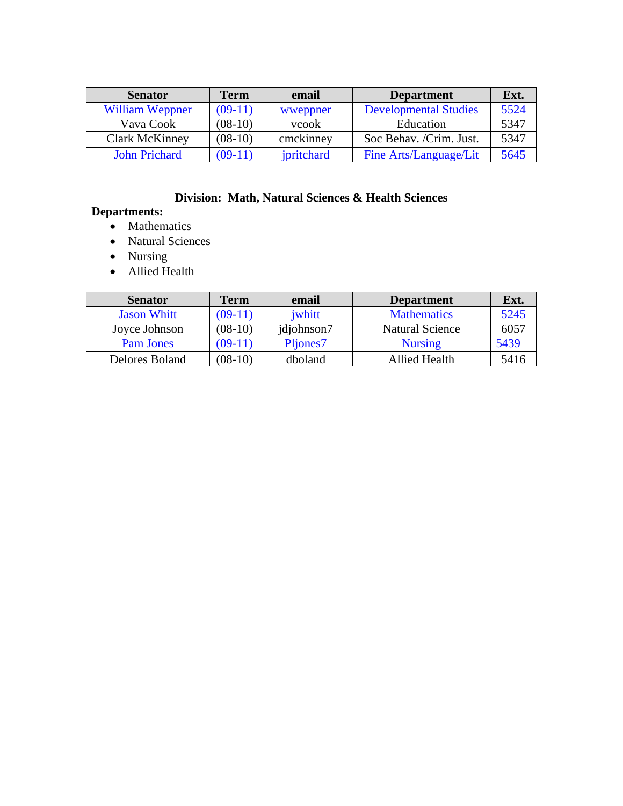| <b>Senator</b>         | Term      | email      | <b>Department</b>            | Ext. |
|------------------------|-----------|------------|------------------------------|------|
| <b>William Weppner</b> | $(09-11)$ | wweppner   | <b>Developmental Studies</b> | 5524 |
| Vava Cook              | $(08-10)$ | vcook      | Education                    | 5347 |
| <b>Clark McKinney</b>  | $(08-10)$ | cmckinney  | Soc Behav. /Crim. Just.      | 5347 |
| <b>John Prichard</b>   | $(09-11)$ | ipritchard | Fine Arts/Language/Lit       | 5645 |

# **Division: Math, Natural Sciences & Health Sciences**

# **Departments:**

- Mathematics
- Natural Sciences
- Nursing
- Allied Health

| <b>Senator</b>     | Term      | email      | <b>Department</b>      | Ext. |
|--------------------|-----------|------------|------------------------|------|
| <b>Jason Whitt</b> | $(09-11)$ | iwhitt     | <b>Mathematics</b>     | 5245 |
| Joyce Johnson      | $(08-10)$ | jdjohnson7 | <b>Natural Science</b> | 6057 |
| <b>Pam Jones</b>   | $(09-11)$ | Pljones7   | <b>Nursing</b>         | 5439 |
| Delores Boland     | $(08-10)$ | dboland    | <b>Allied Health</b>   | 5416 |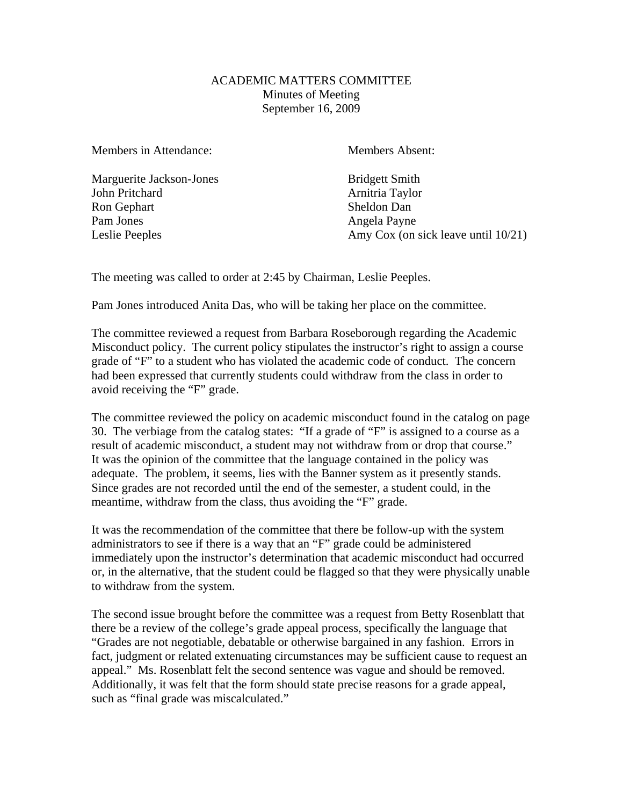### ACADEMIC MATTERS COMMITTEE Minutes of Meeting September 16, 2009

Members in Attendance: Members Absent:

Marguerite Jackson-Jones Bridgett Smith John Pritchard **Arnitria Taylor** Ron Gephart Sheldon Dan Pam Jones Angela Payne

Leslie Peeples Amy Cox (on sick leave until 10/21)

The meeting was called to order at 2:45 by Chairman, Leslie Peeples.

Pam Jones introduced Anita Das, who will be taking her place on the committee.

The committee reviewed a request from Barbara Roseborough regarding the Academic Misconduct policy. The current policy stipulates the instructor's right to assign a course grade of "F" to a student who has violated the academic code of conduct. The concern had been expressed that currently students could withdraw from the class in order to avoid receiving the "F" grade.

The committee reviewed the policy on academic misconduct found in the catalog on page 30. The verbiage from the catalog states: "If a grade of "F" is assigned to a course as a result of academic misconduct, a student may not withdraw from or drop that course." It was the opinion of the committee that the language contained in the policy was adequate. The problem, it seems, lies with the Banner system as it presently stands. Since grades are not recorded until the end of the semester, a student could, in the meantime, withdraw from the class, thus avoiding the "F" grade.

It was the recommendation of the committee that there be follow-up with the system administrators to see if there is a way that an "F" grade could be administered immediately upon the instructor's determination that academic misconduct had occurred or, in the alternative, that the student could be flagged so that they were physically unable to withdraw from the system.

The second issue brought before the committee was a request from Betty Rosenblatt that there be a review of the college's grade appeal process, specifically the language that "Grades are not negotiable, debatable or otherwise bargained in any fashion. Errors in fact, judgment or related extenuating circumstances may be sufficient cause to request an appeal." Ms. Rosenblatt felt the second sentence was vague and should be removed. Additionally, it was felt that the form should state precise reasons for a grade appeal, such as "final grade was miscalculated."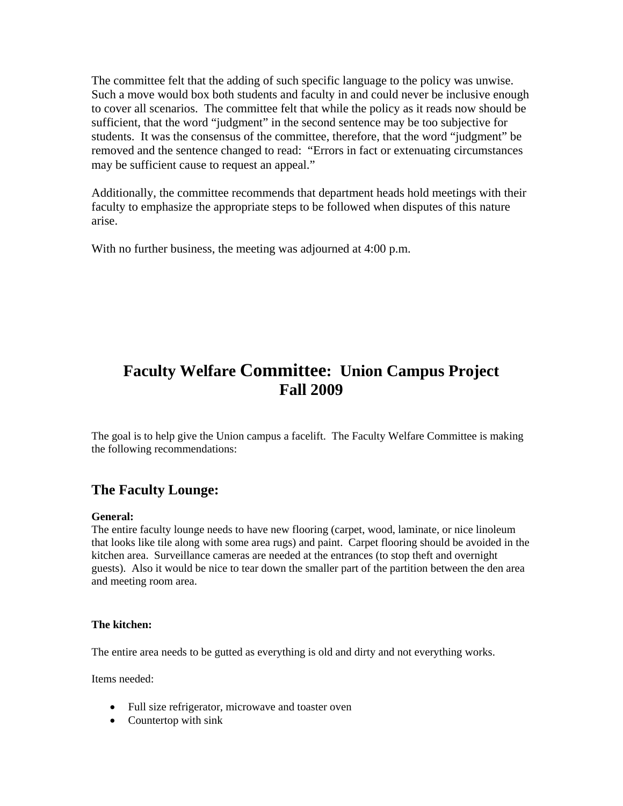The committee felt that the adding of such specific language to the policy was unwise. Such a move would box both students and faculty in and could never be inclusive enough to cover all scenarios. The committee felt that while the policy as it reads now should be sufficient, that the word "judgment" in the second sentence may be too subjective for students. It was the consensus of the committee, therefore, that the word "judgment" be removed and the sentence changed to read: "Errors in fact or extenuating circumstances may be sufficient cause to request an appeal."

Additionally, the committee recommends that department heads hold meetings with their faculty to emphasize the appropriate steps to be followed when disputes of this nature arise.

With no further business, the meeting was adjourned at 4:00 p.m.

# **Faculty Welfare Committee: Union Campus Project Fall 2009**

The goal is to help give the Union campus a facelift. The Faculty Welfare Committee is making the following recommendations:

# **The Faculty Lounge:**

**General:** The entire faculty lounge needs to have new flooring (carpet, wood, laminate, or nice linoleum that looks like tile along with some area rugs) and paint. Carpet flooring should be avoided in the kitchen area. Surveillance cameras are needed at the entrances (to stop theft and overnight guests). Also it would be nice to tear down the smaller part of the partition between the den area and meeting room area.

#### **The kitchen:**

The entire area needs to be gutted as everything is old and dirty and not everything works.

Items needed:

- Full size refrigerator, microwave and toaster oven
- Countertop with sink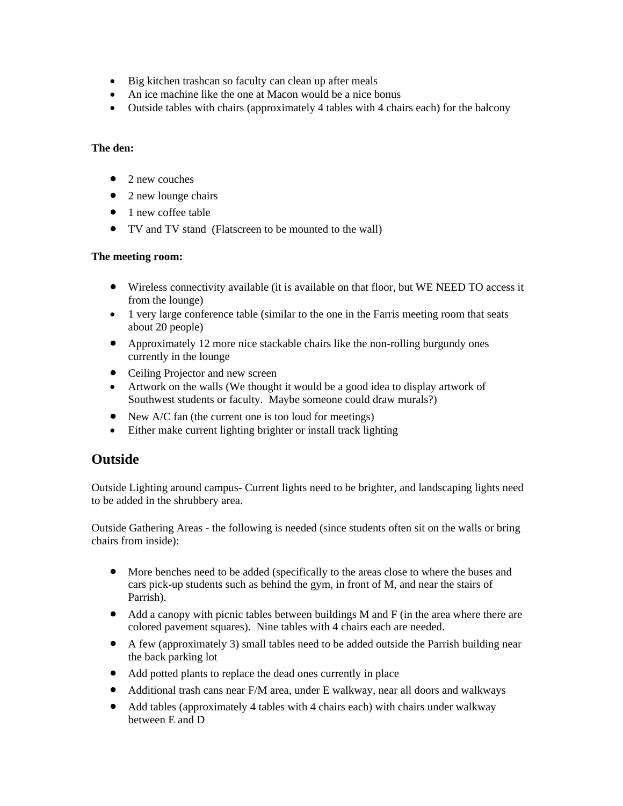- Big kitchen trashcan so faculty can clean up after meals
- An ice machine like the one at Macon would be a nice bonus
- Outside tables with chairs (approximately 4 tables with 4 chairs each) for the balcony

#### **The den:**

- $\bullet$  2 new couches
- 2 new lounge chairs
- 1 new coffee table
- TV and TV stand (Flatscreen to be mounted to the wall)

#### **The meeting room:**

- Wireless connectivity available (it is available on that floor, but WE NEED TO access it from the lounge)
- 1 very large conference table (similar to the one in the Farris meeting room that seats about 20 people)
- Approximately 12 more nice stackable chairs like the non-rolling burgundy ones currently in the lounge
- Ceiling Projector and new screen
- Artwork on the walls (We thought it would be a good idea to display artwork of Southwest students or faculty. Maybe someone could draw murals?)
- New A/C fan (the current one is too loud for meetings)
- Either make current lighting brighter or install track lighting

## **Outside**

Outside Lighting around campus- Current lights need to be brighter, and landscaping lights need to be added in the shrubbery area.

Outside Gathering Areas - the following is needed (since students often sit on the walls or bring chairs from inside):

- More benches need to be added (specifically to the areas close to where the buses and cars pick-up students such as behind the gym, in front of M, and near the stairs of Parrish).
- Add a canopy with picnic tables between buildings M and F (in the area where there are colored pavement squares). Nine tables with 4 chairs each are needed.
- A few (approximately 3) small tables need to be added outside the Parrish building near the back parking lot
- Add potted plants to replace the dead ones currently in place
- Additional trash cans near F/M area, under E walkway, near all doors and walkways
- Add tables (approximately 4 tables with 4 chairs each) with chairs under walkway between E and D